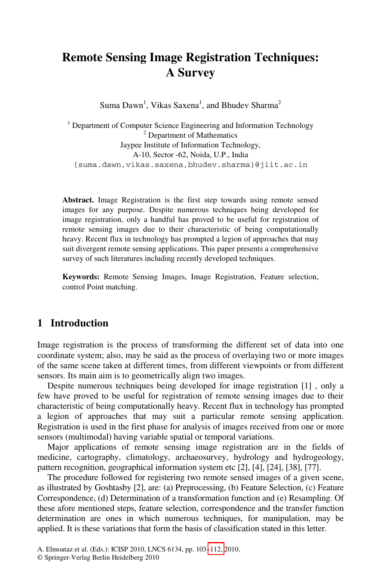# **Remote Sensing Image Registration Techniques: A Survey**

Suma Dawn<sup>1</sup>, Vikas Saxena<sup>1</sup>, and Bhudev Sharma<sup>2</sup>

<sup>1</sup> Department of Computer Science Engineering and Information Technology  $\frac{2}{3}$  Department of Mathematics <sup>2</sup> Department of Mathematics Jaypee Institute of Information Technology, A-10, Sector -62, Noida, U.P., India {suma.dawn,vikas.saxena,bhudev.sharma}@jiit.ac.in

**Abstract.** Image Registration is the first step towards using remote sensed images for any purpose. Despite numerous techniques being developed for image registration, only a handful has proved to be useful for registration of remote sensing images due to their characteristic of being computationally heavy. Recent flux in technology has prompted a legion of approaches that may suit divergent remote sensing applications. This paper presents a comprehensive survey of such literatures including recently developed techniques.

**Keywords:** Remote Sensing Images, Image Registration, Feature selection, control Point matching.

### **1 Introduction**

Image registration is the process of transforming the different set of data into one coordinate system; also, may be said as the process of overlaying two or more images of the same scene taken at different times, from different viewpoints or from different sensors. Its main aim is to geometrically align two images.

Despite numerous techniques being developed for image registration [1] , only a few have proved to be useful for registration of remote sensing images due to their characteristic of being computationally heavy. Recent flux in technology has prompted a legion of approaches that may suit a particular remote sensing application. Registration is used in the first phase for analysis of images received from one or more sensors (multimodal) having variable spatial or temporal variations.

Major applications of remote sensing image registration are in the fields of medicine, cartography, climatology, archaeosurvey, hydrology and hydrogeology, pattern recognition, geogra[phical](#page-9-0) information system etc [2], [4], [24], [38], [77].

The procedure followed for registering two remote sensed images of a given scene, as illustrated by Goshtasby [2], are: (a) Preprocessing, (b) Feature Selection, (c) Feature Correspondence, (d) Determination of a transformation function and (e) Resampling. Of these afore mentioned steps, feature selection, correspondence and the transfer function determination are ones in which numerous techniques, for manipulation, may be applied. It is these variations that form the basis of classification stated in this letter.

A. Elmoataz et al. (Eds.): ICISP 2010, LNCS 6134, pp. 103–112, 2010.

<sup>©</sup> Springer-Verlag Berlin Heidelberg 2010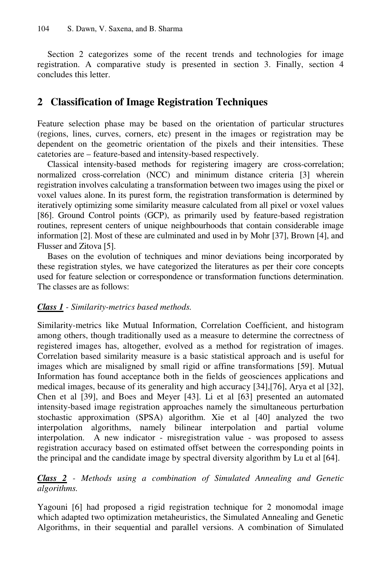Section 2 categorizes some of the recent trends and technologies for image registration. A comparative study is presented in section 3. Finally, section 4 concludes this letter.

### **2 Classification of Image Registration Techniques**

Feature selection phase may be based on the orientation of particular structures (regions, lines, curves, corners, etc) present in the images or registration may be dependent on the geometric orientation of the pixels and their intensities. These catetories are – feature-based and intensity-based respectively.

Classical intensity-based methods for registering imagery are cross-correlation; normalized cross-correlation (NCC) and minimum distance criteria [3] wherein registration involves calculating a transformation between two images using the pixel or voxel values alone. In its purest form, the registration transformation is determined by iteratively optimizing some similarity measure calculated from all pixel or voxel values [86]. Ground Control points (GCP), as primarily used by feature-based registration routines, represent centers of unique neighbourhoods that contain considerable image information [2]. Most of these are culminated and used in by Mohr [37], Brown [4], and Flusser and Zitova [5].

Bases on the evolution of techniques and minor deviations being incorporated by these registration styles, we have categorized the literatures as per their core concepts used for feature selection or correspondence or transformation functions determination. The classes are as follows:

#### *Class 1 - Similarity-metrics based methods.*

Similarity-metrics like Mutual Information, Correlation Coefficient, and histogram among others, though traditionally used as a measure to determine the correctness of registered images has, altogether, evolved as a method for registration of images. Correlation based similarity measure is a basic statistical approach and is useful for images which are misaligned by small rigid or affine transformations [59]. Mutual Information has found acceptance both in the fields of geosciences applications and medical images, because of its generality and high accuracy [34],[76], Arya et al [32], Chen et al [39], and Boes and Meyer [43]. Li et al [63] presented an automated intensity-based image registration approaches namely the simultaneous perturbation stochastic approximation (SPSA) algorithm. Xie et al [40] analyzed the two interpolation algorithms, namely bilinear interpolation and partial volume interpolation. A new indicator - misregistration value - was proposed to assess registration accuracy based on estimated offset between the corresponding points in the principal and the candidate image by spectral diversity algorithm by Lu et al [64].

#### *Class 2 - Methods using a combination of Simulated Annealing and Genetic algorithms.*

Yagouni [6] had proposed a rigid registration technique for 2 monomodal image which adapted two optimization metaheuristics, the Simulated Annealing and Genetic Algorithms, in their sequential and parallel versions. A combination of Simulated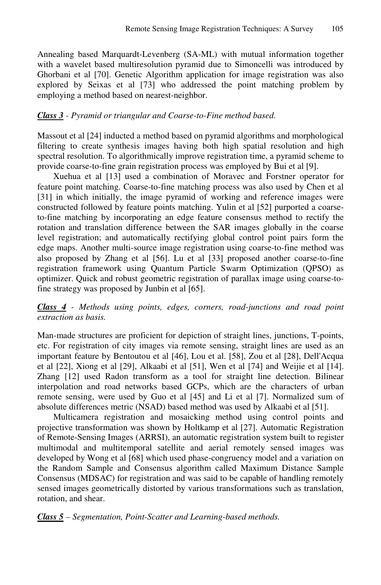Annealing based Marquardt-Levenberg (SA-ML) with mutual information together with a wavelet based multiresolution pyramid due to Simoncelli was introduced by Ghorbani et al [70]. Genetic Algorithm application for image registration was also explored by Seixas et al [73] who addressed the point matching problem by employing a method based on nearest-neighbor.

#### *Class 3 - Pyramid or triangular and Coarse-to-Fine method based.*

Massout et al [24] inducted a method based on pyramid algorithms and morphological filtering to create synthesis images having both high spatial resolution and high spectral resolution. To algorithmically improve registration time, a pyramid scheme to provide coarse-to-fine grain registration process was employed by Bui et al [9].

Xuehua et al [13] used a combination of Moravec and Forstner operator for feature point matching. Coarse-to-fine matching process was also used by Chen et al [31] in which initially, the image pyramid of working and reference images were constructed followed by feature points matching. Yulin et al [52] purported a coarseto-fine matching by incorporating an edge feature consensus method to rectify the rotation and translation difference between the SAR images globally in the coarse level registration; and automatically rectifying global control point pairs form the edge maps. Another multi-source image registration using coarse-to-fine method was also proposed by Zhang et al [56]. Lu et al [33] proposed another coarse-to-fine registration framework using Quantum Particle Swarm Optimization (QPSO) as optimizer. Quick and robust geometric registration of parallax image using coarse-tofine strategy was proposed by Junbin et al [65].

*Class 4 - Methods using points, edges, corners, road-junctions and road point extraction as basis.*

Man-made structures are proficient for depiction of straight lines, junctions, T-points, etc. For registration of city images via remote sensing, straight lines are used as an important feature by Bentoutou et al [46], Lou et al. [58], Zou et al [28], Dell'Acqua et al [22], Xiong et al [29], Alkaabi et al [51], Wen et al [74] and Weijie et al [14]. Zhang [12] used Radon transform as a tool for straight line detection. Bilinear interpolation and road networks based GCPs, which are the characters of urban remote sensing, were used by Guo et al [45] and Li et al [7]. Normalized sum of absolute differences metric (NSAD) based method was used by Alkaabi et al [51].

Multicamera registration and mosaicking method using control points and projective transformation was shown by Holtkamp et al [27]. Automatic Registration of Remote-Sensing Images (ARRSI), an automatic registration system built to register multimodal and multitemporal satellite and aerial remotely sensed images was developed by Wong et al [68] which used phase-congruency model and a variation on the Random Sample and Consensus algorithm called Maximum Distance Sample Consensus (MDSAC) for registration and was said to be capable of handling remotely sensed images geometrically distorted by various transformations such as translation, rotation, and shear.

*Class 5 – Segmentation, Point-Scatter and Learning-based methods.*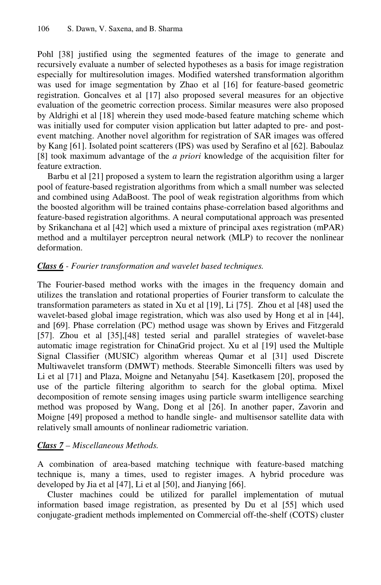Pohl [38] justified using the segmented features of the image to generate and recursively evaluate a number of selected hypotheses as a basis for image registration especially for multiresolution images. Modified watershed transformation algorithm was used for image segmentation by Zhao et al [16] for feature-based geometric registration. Goncalves et al [17] also proposed several measures for an objective evaluation of the geometric correction process. Similar measures were also proposed by Aldrighi et al [18] wherein they used mode-based feature matching scheme which was initially used for computer vision application but latter adapted to pre- and postevent matching. Another novel algorithm for registration of SAR images was offered by Kang [61]. Isolated point scatterers (IPS) was used by Serafino et al [62]. Baboulaz [8] took maximum advantage of the *a priori* knowledge of the acquisition filter for feature extraction.

Barbu et al [21] proposed a system to learn the registration algorithm using a larger pool of feature-based registration algorithms from which a small number was selected and combined using AdaBoost. The pool of weak registration algorithms from which the boosted algorithm will be trained contains phase-correlation based algorithms and feature-based registration algorithms. A neural computational approach was presented by Srikanchana et al [42] which used a mixture of principal axes registration (mPAR) method and a multilayer perceptron neural network (MLP) to recover the nonlinear deformation.

#### *Class 6 - Fourier transformation and wavelet based techniques.*

The Fourier-based method works with the images in the frequency domain and utilizes the translation and rotational properties of Fourier transform to calculate the transformation parameters as stated in Xu et al [19], Li [75]. Zhou et al [48] used the wavelet-based global image registration, which was also used by Hong et al in [44], and [69]. Phase correlation (PC) method usage was shown by Erives and Fitzgerald [57]. Zhou et al [35],[48] tested serial and parallel strategies of wavelet-base automatic image registration for ChinaGrid project. Xu et al [19] used the Multiple Signal Classifier (MUSIC) algorithm whereas Qumar et al [31] used Discrete Multiwavelet transform (DMWT) methods. Steerable Simoncelli filters was used by Li et al [71] and Plaza, Moigne and Netanyahu [54]. Kasetkasem [20], proposed the use of the particle filtering algorithm to search for the global optima. Mixel decomposition of remote sensing images using particle swarm intelligence searching method was proposed by Wang, Dong et al [26]. In another paper, Zavorin and Moigne [49] proposed a method to handle single- and multisensor satellite data with relatively small amounts of nonlinear radiometric variation.

### *Class 7 – Miscellaneous Methods.*

A combination of area-based matching technique with feature-based matching technique is, many a times, used to register images. A hybrid procedure was developed by Jia et al [47], Li et al [50], and Jianying [66].

Cluster machines could be utilized for parallel implementation of mutual information based image registration, as presented by Du et al [55] which used conjugate-gradient methods implemented on Commercial off-the-shelf (COTS) cluster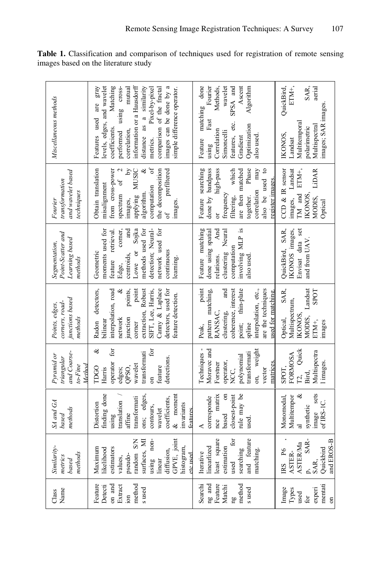| Name<br>Class                                                                          | Similarity-<br>methods<br>metrics<br>based                                                                                                                            | SA and GA<br>methods<br>based                                                                                                                                                 | and Coarse-<br>Pyramid or<br>triangular<br>to-Fine<br>Method                                                                                   | junctions based<br>corners, road-<br>Points, edges,<br>methods                                                                                                                                                            | Point-Scatter and<br>Learning based<br>Segmentation,<br>methods                                                                                                                                      | and wavelet based<br>transformation<br>techniques<br>Fourier                                                                                                                                                                   | Miscellaneous methods                                                                                                                                                                                                                                                                                            |
|----------------------------------------------------------------------------------------|-----------------------------------------------------------------------------------------------------------------------------------------------------------------------|-------------------------------------------------------------------------------------------------------------------------------------------------------------------------------|------------------------------------------------------------------------------------------------------------------------------------------------|---------------------------------------------------------------------------------------------------------------------------------------------------------------------------------------------------------------------------|------------------------------------------------------------------------------------------------------------------------------------------------------------------------------------------------------|--------------------------------------------------------------------------------------------------------------------------------------------------------------------------------------------------------------------------------|------------------------------------------------------------------------------------------------------------------------------------------------------------------------------------------------------------------------------------------------------------------------------------------------------------------|
| Feature<br>method<br>on and<br>Detecti<br>Extract<br>s used<br>$\overline{\text{ion}}$ | GPVE, joint<br>random S/N<br>using non-<br>surfaces, MI<br>histogram,<br>Maximum<br>ikelihood<br>estimators<br>diffusion,<br>pseudo-<br>etc used<br>values,<br>linear | finding done<br>ons; edges.<br>$\&$ moment<br>transformati<br>coefficients,<br>translation<br>Distortion<br>invariants<br>contours,<br>wavelet<br>features<br>affine<br>using | ళ<br>for<br>for<br>transformati<br>detections.<br>operator<br>wavelet<br>QPSO,<br><b>TDGO</b><br>feature<br>Harris<br>edges;<br>$\overline{5}$ | Canny & Laplace<br>interpolation, road<br>detectors, used for<br>ಳ<br>point<br>extraction, Robust<br>Radon detectors,<br>points,<br>SIFT, Lee, Harris,<br>feature detection.<br>junction<br>network<br>pilinear<br>corner | methods used for<br>detection; Neural-<br>Lowe or Sojka<br>moments used for<br>network used for<br>and<br>feature retrieval<br>corner,<br>continuous<br>Geometric<br>centroids,<br>learning<br>Edge, | $\mathbf{A}$<br>$\sigma$<br><b>MUSIC</b><br>ಳ<br>the decomposition<br>Obtain translation<br>from cross-power<br>prefiltered<br>spectrum of<br>computation<br>misalignment<br>algorithm.<br>applying<br>mages,<br>images.<br>of | images can be done by a<br>Matching<br>levels, edges, and wavelet<br>performed using cross-<br>information or a Hausdorff<br>distance as a similarity<br>mutual<br>metrics. Pixel-by-pixel<br>comparison of the fractal<br>Features used are gray<br>simple difference operator<br>coefficients.<br>correlation, |
| ng and<br>Feature<br>method<br>Searchi<br>Matchi<br>s used<br>ng                       | least square<br>for<br>and feature<br>linearlized<br>estimation<br>searching<br>matching.<br>Iterative<br>used                                                        | nce matrix<br>rule may be<br>based on<br>closest-point<br>corresponde<br>used.<br>∢                                                                                           | Moravec and<br>on, weight<br>Techniques<br>transformati<br>polynomial<br>operator,<br>matrices.<br>Forstner<br>NCC,<br>vector                  | point; thin-plate<br>interpolation, etc.,<br>are the techniques<br>point<br>and<br>coherence, interest<br>pattern matching,<br>used for matching<br>RANSAC,<br>clustering,<br>spline<br>Peak,                             | Feature matching<br>Ω.<br>done using spatial<br>And<br>Neural<br>involving MLP<br>computation<br>clustering<br>relations.<br>also used                                                               | Feature searching<br>Phase<br>done by bandpass<br>which<br>correlation may<br>also be used to<br>high-pass<br>are then matched<br>register images.<br>frequency<br>together.<br>filtering,<br>ă                                | matching done<br>Ascent<br>Fourier<br>wavelet<br>SPSA and<br>Algorithm<br><b>Methods</b><br>Fast<br>etc.<br>Optimization<br>Correlation<br>Simoncelli<br>features,<br>also used<br>Feature<br>Gradient<br>using                                                                                                  |
| mentati<br>Types<br>experi<br>Image<br>used<br>.<br>Gr<br>$\overline{5}$               | SAR-<br>and EROS-B<br><b>ASTER/Ma</b><br>Quickbird<br>P6<br><b>ASTER-</b><br><b>IRS</b><br>SAR.<br>p.                                                                 | sets<br>ళ<br>Multitempor<br>Monomodal,<br>of IRS-IC.<br>synthetic<br>mage                                                                                                     | Quick<br>Multispectra<br>FORMOSA<br>l images.<br>SPOT,<br>T2,<br>Bird,                                                                         | SAR,<br>Landsat<br><b>SPOT</b><br>Multispectrum,<br>IKONOS,<br>MODIS,<br>Optical,<br>ETM <sup>+</sup> ,<br>mages                                                                                                          | Envisat data set<br>QuickBird, SAR,<br>IKONOS images,<br>and from UAV.                                                                                                                               | CCD & IR sensor<br>images, Landsat<br>Lidar<br>ETM+<br>TM and<br><b>IKONOS</b><br>MODIS,<br>Optical                                                                                                                            | ETM+,<br>SAR,<br>QuickBird<br>aerial<br>images; SAR images.<br>Multitemporal<br>Multispectral<br>polarimetric<br>IKONOS.<br>Landsat                                                                                                                                                                              |

**Table 1.** Classification and comparison of techniques used for registration of remote sensing images based on the literature study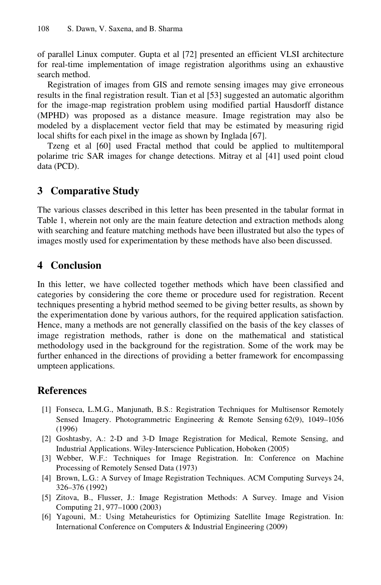of parallel Linux computer. Gupta et al [72] presented an efficient VLSI architecture for real-time implementation of image registration algorithms using an exhaustive search method.

Registration of images from GIS and remote sensing images may give erroneous results in the final registration result. Tian et al [53] suggested an automatic algorithm for the image-map registration problem using modified partial Hausdorff distance (MPHD) was proposed as a distance measure. Image registration may also be modeled by a displacement vector field that may be estimated by measuring rigid local shifts for each pixel in the image as shown by Inglada [67].

Tzeng et al [60] used Fractal method that could be applied to multitemporal polarime tric SAR images for change detections. Mitray et al [41] used point cloud data (PCD).

## **3 Comparative Study**

The various classes described in this letter has been presented in the tabular format in Table 1, wherein not only are the main feature detection and extraction methods along with searching and feature matching methods have been illustrated but also the types of images mostly used for experimentation by these methods have also been discussed.

# **4 Conclusion**

In this letter, we have collected together methods which have been classified and categories by considering the core theme or procedure used for registration. Recent techniques presenting a hybrid method seemed to be giving better results, as shown by the experimentation done by various authors, for the required application satisfaction. Hence, many a methods are not generally classified on the basis of the key classes of image registration methods, rather is done on the mathematical and statistical methodology used in the background for the registration. Some of the work may be further enhanced in the directions of providing a better framework for encompassing umpteen applications.

# **References**

- [1] Fonseca, L.M.G., Manjunath, B.S.: Registration Techniques for Multisensor Remotely Sensed Imagery. Photogrammetric Engineering & Remote Sensing 62(9), 1049–1056 (1996)
- [2] Goshtasby, A.: 2-D and 3-D Image Registration for Medical, Remote Sensing, and Industrial Applications. Wiley-Interscience Publication, Hoboken (2005)
- [3] Webber, W.F.: Techniques for Image Registration. In: Conference on Machine Processing of Remotely Sensed Data (1973)
- [4] Brown, L.G.: A Survey of Image Registration Techniques. ACM Computing Surveys 24, 326–376 (1992)
- [5] Zitova, B., Flusser, J.: Image Registration Methods: A Survey. Image and Vision Computing 21, 977–1000 (2003)
- [6] Yagouni, M.: Using Metaheuristics for Optimizing Satellite Image Registration. In: International Conference on Computers & Industrial Engineering (2009)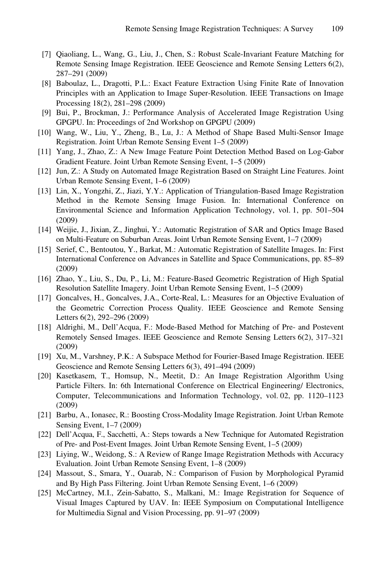- [7] Qiaoliang, L., Wang, G., Liu, J., Chen, S.: Robust Scale-Invariant Feature Matching for Remote Sensing Image Registration. IEEE Geoscience and Remote Sensing Letters 6(2), 287–291 (2009)
- [8] Baboulaz, L., Dragotti, P.L.: Exact Feature Extraction Using Finite Rate of Innovation Principles with an Application to Image Super-Resolution. IEEE Transactions on Image Processing 18(2), 281–298 (2009)
- [9] Bui, P., Brockman, J.: Performance Analysis of Accelerated Image Registration Using GPGPU. In: Proceedings of 2nd Workshop on GPGPU (2009)
- [10] Wang, W., Liu, Y., Zheng, B., Lu, J.: A Method of Shape Based Multi-Sensor Image Registration. Joint Urban Remote Sensing Event 1–5 (2009)
- [11] Yang, J., Zhao, Z.: A New Image Feature Point Detection Method Based on Log-Gabor Gradient Feature. Joint Urban Remote Sensing Event, 1–5 (2009)
- [12] Jun, Z.: A Study on Automated Image Registration Based on Straight Line Features. Joint Urban Remote Sensing Event, 1–6 (2009)
- [13] Lin, X., Yongzhi, Z., Jiazi, Y.Y.: Application of Triangulation-Based Image Registration Method in the Remote Sensing Image Fusion. In: International Conference on Environmental Science and Information Application Technology, vol. 1, pp. 501–504 (2009)
- [14] Weijie, J., Jixian, Z., Jinghui, Y.: Automatic Registration of SAR and Optics Image Based on Multi-Feature on Suburban Areas. Joint Urban Remote Sensing Event, 1–7 (2009)
- [15] Serief, C., Bentoutou, Y., Barkat, M.: Automatic Registration of Satellite Images. In: First International Conference on Advances in Satellite and Space Communications, pp. 85–89 (2009)
- [16] Zhao, Y., Liu, S., Du, P., Li, M.: Feature-Based Geometric Registration of High Spatial Resolution Satellite Imagery. Joint Urban Remote Sensing Event, 1–5 (2009)
- [17] Goncalves, H., Goncalves, J.A., Corte-Real, L.: Measures for an Objective Evaluation of the Geometric Correction Process Quality. IEEE Geoscience and Remote Sensing Letters 6(2), 292–296 (2009)
- [18] Aldrighi, M., Dell'Acqua, F.: Mode-Based Method for Matching of Pre- and Postevent Remotely Sensed Images. IEEE Geoscience and Remote Sensing Letters 6(2), 317–321 (2009)
- [19] Xu, M., Varshney, P.K.: A Subspace Method for Fourier-Based Image Registration. IEEE Geoscience and Remote Sensing Letters 6(3), 491–494 (2009)
- [20] Kasetkasem, T., Homsup, N., Meetit, D.: An Image Registration Algorithm Using Particle Filters. In: 6th International Conference on Electrical Engineering/ Electronics, Computer, Telecommunications and Information Technology, vol. 02, pp. 1120–1123 (2009)
- [21] Barbu, A., Ionasec, R.: Boosting Cross-Modality Image Registration. Joint Urban Remote Sensing Event, 1–7 (2009)
- [22] Dell'Acqua, F., Sacchetti, A.: Steps towards a New Technique for Automated Registration of Pre- and Post-Event Images. Joint Urban Remote Sensing Event, 1–5 (2009)
- [23] Liying, W., Weidong, S.: A Review of Range Image Registration Methods with Accuracy Evaluation. Joint Urban Remote Sensing Event, 1–8 (2009)
- [24] Massout, S., Smara, Y., Ouarab, N.: Comparison of Fusion by Morphological Pyramid and By High Pass Filtering. Joint Urban Remote Sensing Event, 1–6 (2009)
- [25] McCartney, M.I., Zein-Sabatto, S., Malkani, M.: Image Registration for Sequence of Visual Images Captured by UAV. In: IEEE Symposium on Computational Intelligence for Multimedia Signal and Vision Processing, pp. 91–97 (2009)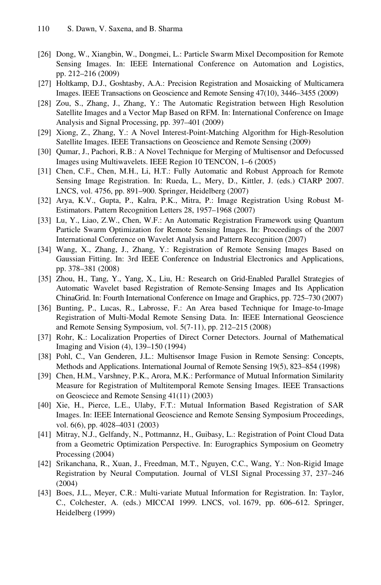- [26] Dong, W., Xiangbin, W., Dongmei, L.: Particle Swarm Mixel Decomposition for Remote Sensing Images. In: IEEE International Conference on Automation and Logistics, pp. 212–216 (2009)
- [27] Holtkamp, D.J., Goshtasby, A.A.: Precision Registration and Mosaicking of Multicamera Images. IEEE Transactions on Geoscience and Remote Sensing 47(10), 3446–3455 (2009)
- [28] Zou, S., Zhang, J., Zhang, Y.: The Automatic Registration between High Resolution Satellite Images and a Vector Map Based on RFM. In: International Conference on Image Analysis and Signal Processing, pp. 397–401 (2009)
- [29] Xiong, Z., Zhang, Y.: A Novel Interest-Point-Matching Algorithm for High-Resolution Satellite Images. IEEE Transactions on Geoscience and Remote Sensing (2009)
- [30] Qumar, J., Pachori, R.B.: A Novel Technique for Merging of Multisensor and Defocussed Images using Multiwavelets. IEEE Region 10 TENCON, 1–6 (2005)
- [31] Chen, C.F., Chen, M.H., Li, H.T.: Fully Automatic and Robust Approach for Remote Sensing Image Registration. In: Rueda, L., Mery, D., Kittler, J. (eds.) CIARP 2007. LNCS, vol. 4756, pp. 891–900. Springer, Heidelberg (2007)
- [32] Arya, K.V., Gupta, P., Kalra, P.K., Mitra, P.: Image Registration Using Robust M-Estimators. Pattern Recognition Letters 28, 1957–1968 (2007)
- [33] Lu, Y., Liao, Z.W., Chen, W.F.: An Automatic Registration Framework using Quantum Particle Swarm Optimization for Remote Sensing Images. In: Proceedings of the 2007 International Conference on Wavelet Analysis and Pattern Recognition (2007)
- [34] Wang, X., Zhang, J., Zhang, Y.: Registration of Remote Sensing Images Based on Gaussian Fitting. In: 3rd IEEE Conference on Industrial Electronics and Applications, pp. 378–381 (2008)
- [35] Zhou, H., Tang, Y., Yang, X., Liu, H.: Research on Grid-Enabled Parallel Strategies of Automatic Wavelet based Registration of Remote-Sensing Images and Its Application ChinaGrid. In: Fourth International Conference on Image and Graphics, pp. 725–730 (2007)
- [36] Bunting, P., Lucas, R., Labrosse, F.: An Area based Technique for Image-to-Image Registration of Multi-Modal Remote Sensing Data. In: IEEE International Geoscience and Remote Sensing Symposium, vol. 5(7-11), pp. 212–215 (2008)
- [37] Rohr, K.: Localization Properties of Direct Corner Detectors. Journal of Mathematical Imaging and Vision (4), 139–150 (1994)
- [38] Pohl, C., Van Genderen, J.L.: Multisensor Image Fusion in Remote Sensing: Concepts, Methods and Applications. International Journal of Remote Sensing 19(5), 823–854 (1998)
- [39] Chen, H.M., Varshney, P.K., Arora, M.K.: Performance of Mutual Information Similarity Measure for Registration of Multitemporal Remote Sensing Images. IEEE Transactions on Geosciece and Remote Sensing 41(11) (2003)
- [40] Xie, H., Pierce, L.E., Ulaby, F.T.: Mutual Information Based Registration of SAR Images. In: IEEE International Geoscience and Remote Sensing Symposium Proceedings, vol. 6(6), pp. 4028–4031 (2003)
- [41] Mitray, N.J., Gelfandy, N., Pottmannz, H., Guibasy, L.: Registration of Point Cloud Data from a Geometric Optimization Perspective. In: Eurographics Symposium on Geometry Processing (2004)
- [42] Srikanchana, R., Xuan, J., Freedman, M.T., Nguyen, C.C., Wang, Y.: Non-Rigid Image Registration by Neural Computation. Journal of VLSI Signal Processing 37, 237–246 (2004)
- [43] Boes, J.L., Meyer, C.R.: Multi-variate Mutual Information for Registration. In: Taylor, C., Colchester, A. (eds.) MICCAI 1999. LNCS, vol. 1679, pp. 606–612. Springer, Heidelberg (1999)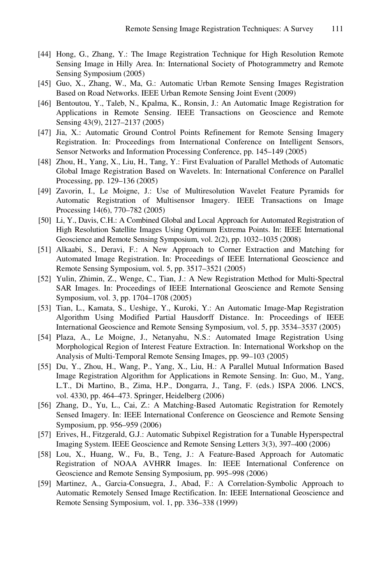- [44] Hong, G., Zhang, Y.: The Image Registration Technique for High Resolution Remote Sensing Image in Hilly Area. In: International Society of Photogrammetry and Remote Sensing Symposium (2005)
- [45] Guo, X., Zhang, W., Ma, G.: Automatic Urban Remote Sensing Images Registration Based on Road Networks. IEEE Urban Remote Sensing Joint Event (2009)
- [46] Bentoutou, Y., Taleb, N., Kpalma, K., Ronsin, J.: An Automatic Image Registration for Applications in Remote Sensing. IEEE Transactions on Geoscience and Remote Sensing 43(9), 2127–2137 (2005)
- [47] Jia, X.: Automatic Ground Control Points Refinement for Remote Sensing Imagery Registration. In: Proceedings from International Conference on Intelligent Sensors, Sensor Networks and Information Processing Conference, pp. 145–149 (2005)
- [48] Zhou, H., Yang, X., Liu, H., Tang, Y.: First Evaluation of Parallel Methods of Automatic Global Image Registration Based on Wavelets. In: International Conference on Parallel Processing, pp. 129–136 (2005)
- [49] Zavorin, I., Le Moigne, J.: Use of Multiresolution Wavelet Feature Pyramids for Automatic Registration of Multisensor Imagery. IEEE Transactions on Image Processing 14(6), 770–782 (2005)
- [50] Li, Y., Davis, C.H.: A Combined Global and Local Approach for Automated Registration of High Resolution Satellite Images Using Optimum Extrema Points. In: IEEE International Geoscience and Remote Sensing Symposium, vol. 2(2), pp. 1032–1035 (2008)
- [51] Alkaabi, S., Deravi, F.: A New Approach to Corner Extraction and Matching for Automated Image Registration. In: Proceedings of IEEE International Geoscience and Remote Sensing Symposium, vol. 5, pp. 3517–3521 (2005)
- [52] Yulin, Zhimin, Z., Wenge, C., Tian, J.: A New Registration Method for Multi-Spectral SAR Images. In: Proceedings of IEEE International Geoscience and Remote Sensing Symposium, vol. 3, pp. 1704–1708 (2005)
- [53] Tian, L., Kamata, S., Ueshige, Y., Kuroki, Y.: An Automatic Image-Map Registration Algorithm Using Modified Partial Hausdorff Distance. In: Proceedings of IEEE International Geoscience and Remote Sensing Symposium, vol. 5, pp. 3534–3537 (2005)
- [54] Plaza, A., Le Moigne, J., Netanyahu, N.S.: Automated Image Registration Using Morphological Region of Interest Feature Extraction. In: International Workshop on the Analysis of Multi-Temporal Remote Sensing Images, pp. 99–103 (2005)
- [55] Du, Y., Zhou, H., Wang, P., Yang, X., Liu, H.: A Parallel Mutual Information Based Image Registration Algorithm for Applications in Remote Sensing. In: Guo, M., Yang, L.T., Di Martino, B., Zima, H.P., Dongarra, J., Tang, F. (eds.) ISPA 2006. LNCS, vol. 4330, pp. 464–473. Springer, Heidelberg (2006)
- [56] Zhang, D., Yu, L., Cai, Z.: A Matching-Based Automatic Registration for Remotely Sensed Imagery. In: IEEE International Conference on Geoscience and Remote Sensing Symposium, pp. 956–959 (2006)
- [57] Erives, H., Fitzgerald, G.J.: Automatic Subpixel Registration for a Tunable Hyperspectral Imaging System. IEEE Geoscience and Remote Sensing Letters 3(3), 397–400 (2006)
- [58] Lou, X., Huang, W., Fu, B., Teng, J.: A Feature-Based Approach for Automatic Registration of NOAA AVHRR Images. In: IEEE International Conference on Geoscience and Remote Sensing Symposium, pp. 995–998 (2006)
- [59] Martinez, A., Garcia-Consuegra, J., Abad, F.: A Correlation-Symbolic Approach to Automatic Remotely Sensed Image Rectification. In: IEEE International Geoscience and Remote Sensing Symposium, vol. 1, pp. 336–338 (1999)